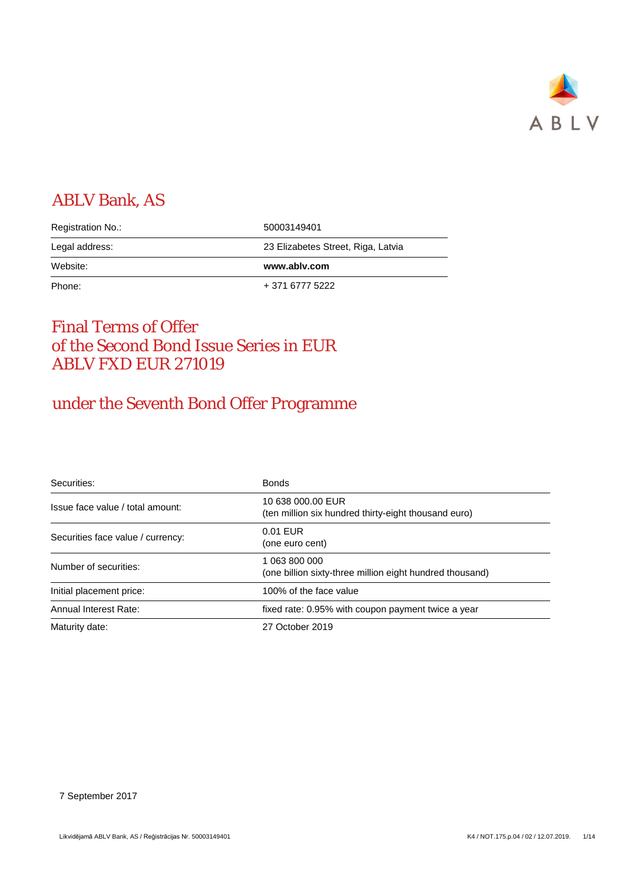

# ABLV Bank, AS

| Registration No.: | 50003149401                        |
|-------------------|------------------------------------|
| Legal address:    | 23 Elizabetes Street, Riga, Latvia |
| Website:          | www.ablv.com                       |
| Phone:            | + 371 6777 5222                    |

# Final Terms of Offer of the Second Bond Issue Series in EUR ABLV FXD EUR 271019

# under the Seventh Bond Offer Programme

| Securities:                       | <b>Bonds</b>                                                              |
|-----------------------------------|---------------------------------------------------------------------------|
| Issue face value / total amount:  | 10 638 000.00 EUR<br>(ten million six hundred thirty-eight thousand euro) |
| Securities face value / currency: | $0.01$ EUR<br>(one euro cent)                                             |
| Number of securities:             | 1 063 800 000<br>(one billion sixty-three million eight hundred thousand) |
| Initial placement price:          | 100% of the face value                                                    |
| Annual Interest Rate:             | fixed rate: 0.95% with coupon payment twice a year                        |
| Maturity date:                    | 27 October 2019                                                           |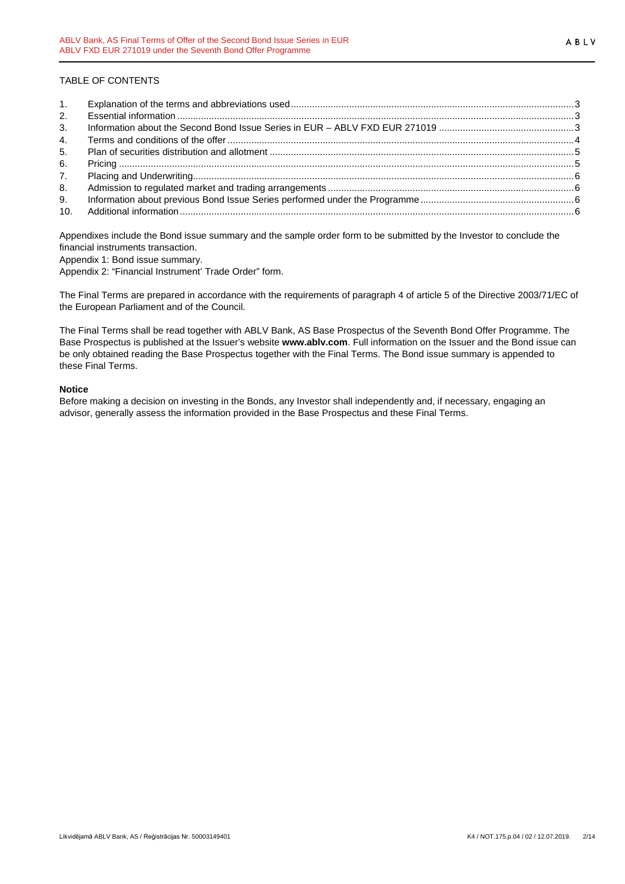ABLV

# TABLE OF CONTENTS

| 2.             |  |
|----------------|--|
| 3 <sub>1</sub> |  |
| 4.             |  |
| 5.             |  |
| 6.             |  |
| 7.             |  |
| 8.             |  |
| 9.             |  |
|                |  |

Appendixes include the Bond issue summary and the sample order form to be submitted by the Investor to conclude the financial instruments transaction.

Appendix 1: Bond issue summary.

Appendix 2: "Financial Instrument' Trade Order" form.

The Final Terms are prepared in accordance with the requirements of paragraph 4 of article 5 of the Directive 2003/71/EC of the European Parliament and of the Council.

The Final Terms shall be read together with ABLV Bank, AS Base Prospectus of the Seventh Bond Offer Programme. The Base Prospectus is published at the Issuer's website **www.ablv.com**. Full information on the Issuer and the Bond issue can be only obtained reading the Base Prospectus together with the Final Terms. The Bond issue summary is appended to these Final Terms.

# **Notice**

Before making a decision on investing in the Bonds, any Investor shall independently and, if necessary, engaging an advisor, generally assess the information provided in the Base Prospectus and these Final Terms.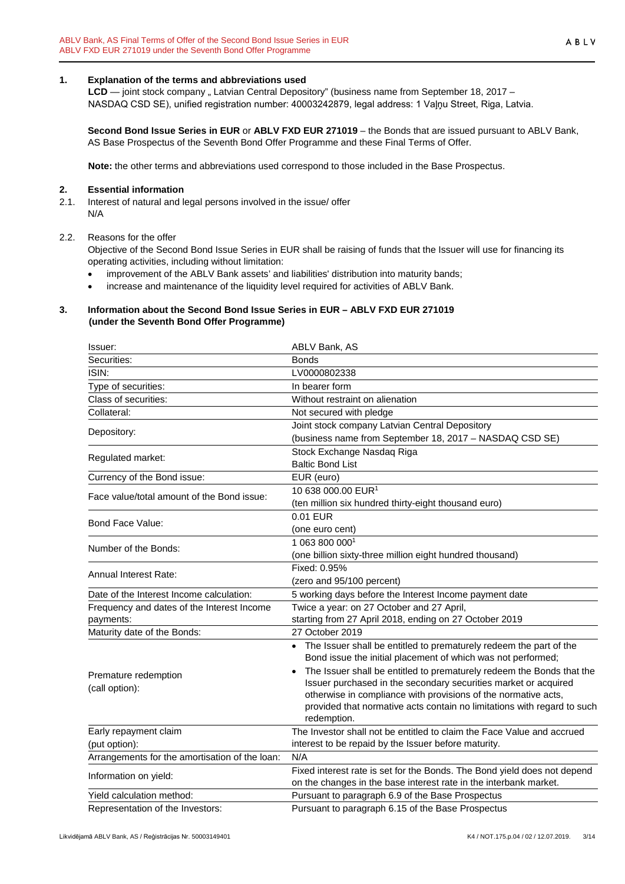# <span id="page-2-0"></span>**1. Explanation of the terms and abbreviations used**

LCD — joint stock company "Latvian Central Depository" (business name from September 18, 2017 – NASDAQ CSD SE), unified registration number: 40003242879, legal address: 1 Vaļņu Street, Riga, Latvia.

**Second Bond Issue Series in EUR** or **ABLV FXD EUR 271019** – the Bonds that are issued pursuant to ABLV Bank, AS Base Prospectus of the Seventh Bond Offer Programme and these Final Terms of Offer.

**Note:** the other terms and abbreviations used correspond to those included in the Base Prospectus.

## <span id="page-2-1"></span>**2. Essential information**

2.1. Interest of natural and legal persons involved in the issue/ offer N/A

#### 2.2. Reasons for the offer

Objective of the Second Bond Issue Series in EUR shall be raising of funds that the Issuer will use for financing its operating activities, including without limitation:

- improvement of the ABLV Bank assets' and liabilities' distribution into maturity bands;
- increase and maintenance of the liquidity level required for activities of ABLV Bank.

#### <span id="page-2-2"></span>**3. Information about the Second Bond Issue Series in EUR – ABLV FXD EUR 271019 (under the Seventh Bond Offer Programme)**

| Issuer:                                        | ABLV Bank, AS                                                                                                                                 |
|------------------------------------------------|-----------------------------------------------------------------------------------------------------------------------------------------------|
| Securities:                                    | <b>Bonds</b>                                                                                                                                  |
| ISIN:                                          | LV0000802338                                                                                                                                  |
| Type of securities:                            | In bearer form                                                                                                                                |
| Class of securities:                           | Without restraint on alienation                                                                                                               |
| Collateral:                                    | Not secured with pledge                                                                                                                       |
| Depository:                                    | Joint stock company Latvian Central Depository                                                                                                |
|                                                | (business name from September 18, 2017 - NASDAQ CSD SE)                                                                                       |
| Regulated market:                              | Stock Exchange Nasdaq Riga<br><b>Baltic Bond List</b>                                                                                         |
| Currency of the Bond issue:                    | EUR (euro)                                                                                                                                    |
|                                                | 10 638 000.00 EUR <sup>1</sup>                                                                                                                |
| Face value/total amount of the Bond issue:     | (ten million six hundred thirty-eight thousand euro)                                                                                          |
|                                                | 0.01 EUR                                                                                                                                      |
| Bond Face Value:                               | (one euro cent)                                                                                                                               |
| Number of the Bonds:                           | 1 063 800 0001                                                                                                                                |
|                                                | (one billion sixty-three million eight hundred thousand)                                                                                      |
| Annual Interest Rate:                          | Fixed: 0.95%                                                                                                                                  |
|                                                | (zero and 95/100 percent)                                                                                                                     |
| Date of the Interest Income calculation:       | 5 working days before the Interest Income payment date                                                                                        |
| Frequency and dates of the Interest Income     | Twice a year: on 27 October and 27 April,                                                                                                     |
| payments:                                      | starting from 27 April 2018, ending on 27 October 2019                                                                                        |
| Maturity date of the Bonds:                    | 27 October 2019                                                                                                                               |
|                                                | • The Issuer shall be entitled to prematurely redeem the part of the<br>Bond issue the initial placement of which was not performed;          |
| Premature redemption                           | The Issuer shall be entitled to prematurely redeem the Bonds that the                                                                         |
| (call option):                                 | Issuer purchased in the secondary securities market or acquired                                                                               |
|                                                | otherwise in compliance with provisions of the normative acts,<br>provided that normative acts contain no limitations with regard to such     |
|                                                | redemption.                                                                                                                                   |
| Early repayment claim                          | The Investor shall not be entitled to claim the Face Value and accrued                                                                        |
| (put option):                                  | interest to be repaid by the Issuer before maturity.                                                                                          |
| Arrangements for the amortisation of the loan: | N/A                                                                                                                                           |
| Information on yield:                          | Fixed interest rate is set for the Bonds. The Bond yield does not depend<br>on the changes in the base interest rate in the interbank market. |
| Yield calculation method:                      | Pursuant to paragraph 6.9 of the Base Prospectus                                                                                              |
| Representation of the Investors:               | Pursuant to paragraph 6.15 of the Base Prospectus                                                                                             |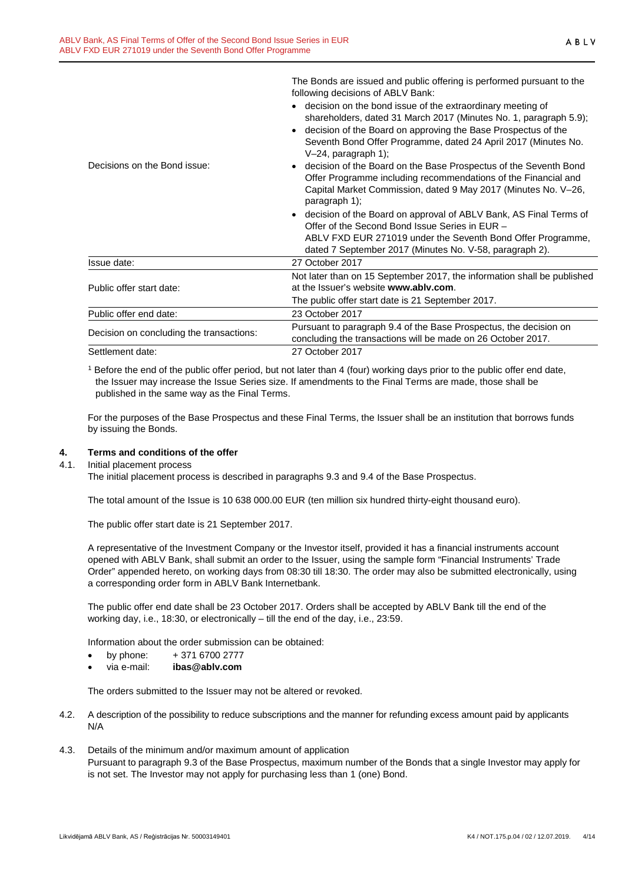|                                          | following decisions of ABLV Bank:                                               |  |  |  |
|------------------------------------------|---------------------------------------------------------------------------------|--|--|--|
|                                          | decision on the bond issue of the extraordinary meeting of                      |  |  |  |
|                                          | shareholders, dated 31 March 2017 (Minutes No. 1, paragraph 5.9);               |  |  |  |
|                                          | decision of the Board on approving the Base Prospectus of the<br>$\bullet$      |  |  |  |
|                                          | Seventh Bond Offer Programme, dated 24 April 2017 (Minutes No.                  |  |  |  |
|                                          | $V-24$ , paragraph 1);                                                          |  |  |  |
| Decisions on the Bond issue:             | decision of the Board on the Base Prospectus of the Seventh Bond                |  |  |  |
|                                          | Offer Programme including recommendations of the Financial and                  |  |  |  |
|                                          | Capital Market Commission, dated 9 May 2017 (Minutes No. V-26,<br>paragraph 1); |  |  |  |
|                                          | decision of the Board on approval of ABLV Bank, AS Final Terms of               |  |  |  |
|                                          | Offer of the Second Bond Issue Series in EUR -                                  |  |  |  |
|                                          | ABLV FXD EUR 271019 under the Seventh Bond Offer Programme,                     |  |  |  |
|                                          | dated 7 September 2017 (Minutes No. V-58, paragraph 2).                         |  |  |  |
| Issue date:                              | 27 October 2017                                                                 |  |  |  |
|                                          | Not later than on 15 September 2017, the information shall be published         |  |  |  |
| Public offer start date:                 | at the Issuer's website www.ably.com.                                           |  |  |  |
|                                          | The public offer start date is 21 September 2017.                               |  |  |  |
| Public offer end date:                   | 23 October 2017                                                                 |  |  |  |
|                                          | Pursuant to paragraph 9.4 of the Base Prospectus, the decision on               |  |  |  |
| Decision on concluding the transactions: | concluding the transactions will be made on 26 October 2017.                    |  |  |  |
| Settlement date:                         | 27 October 2017                                                                 |  |  |  |

The Bonds are issued and public offering is performed pursuant to the

<sup>1</sup> Before the end of the public offer period, but not later than 4 (four) working days prior to the public offer end date, the Issuer may increase the Issue Series size. If amendments to the Final Terms are made, those shall be published in the same way as the Final Terms.

For the purposes of the Base Prospectus and these Final Terms, the Issuer shall be an institution that borrows funds by issuing the Bonds.

# <span id="page-3-0"></span>**4. Terms and conditions of the offer**

4.1. Initial placement process

The initial placement process is described in paragraphs 9.3 and 9.4 of the Base Prospectus.

The total amount of the Issue is 10 638 000.00 EUR (ten million six hundred thirty-eight thousand euro).

The public offer start date is 21 September 2017.

A representative of the Investment Company or the Investor itself, provided it has a financial instruments account opened with ABLV Bank, shall submit an order to the Issuer, using the sample form "Financial Instruments' Trade Order" appended hereto, on working days from 08:30 till 18:30. The order may also be submitted electronically, using a corresponding order form in ABLV Bank Internetbank.

The public offer end date shall be 23 October 2017. Orders shall be accepted by ABLV Bank till the end of the working day, i.e., 18:30, or electronically – till the end of the day, i.e., 23:59.

Information about the order submission can be obtained:

- by phone:  $+371\,6700\,2777$
- via e-mail: **ibas@ablv.com**

The orders submitted to the Issuer may not be altered or revoked.

- 4.2. A description of the possibility to reduce subscriptions and the manner for refunding excess amount paid by applicants N/A
- 4.3. Details of the minimum and/or maximum amount of application Pursuant to paragraph 9.3 of the Base Prospectus, maximum number of the Bonds that a single Investor may apply for is not set. The Investor may not apply for purchasing less than 1 (one) Bond.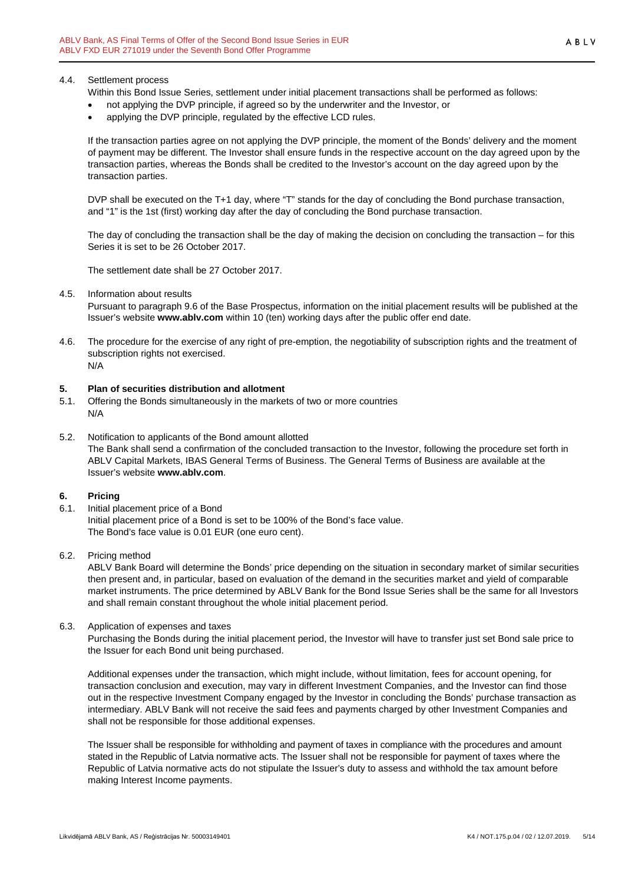#### 4.4. Settlement process

Within this Bond Issue Series, settlement under initial placement transactions shall be performed as follows:

- not applying the DVP principle, if agreed so by the underwriter and the Investor, or
- applying the DVP principle, regulated by the effective LCD rules.

If the transaction parties agree on not applying the DVP principle, the moment of the Bonds' delivery and the moment of payment may be different. The Investor shall ensure funds in the respective account on the day agreed upon by the transaction parties, whereas the Bonds shall be credited to the Investor's account on the day agreed upon by the transaction parties.

DVP shall be executed on the T+1 day, where "T" stands for the day of concluding the Bond purchase transaction, and "1" is the 1st (first) working day after the day of concluding the Bond purchase transaction.

The day of concluding the transaction shall be the day of making the decision on concluding the transaction – for this Series it is set to be 26 October 2017.

The settlement date shall be 27 October 2017.

#### 4.5. Information about results

Pursuant to paragraph 9.6 of the Base Prospectus, information on the initial placement results will be published at the Issuer's website **www.ablv.com** within 10 (ten) working days after the public offer end date.

4.6. The procedure for the exercise of any right of pre-emption, the negotiability of subscription rights and the treatment of subscription rights not exercised. N/A

#### <span id="page-4-0"></span>**5. Plan of securities distribution and allotment**

- 5.1. Offering the Bonds simultaneously in the markets of two or more countries N/A
- 5.2. Notification to applicants of the Bond amount allotted The Bank shall send a confirmation of the concluded transaction to the Investor, following the procedure set forth in ABLV Capital Markets, IBAS General Terms of Business. The General Terms of Business are available at the Issuer's website **[www.ablv.com](http://www.ablv.com/)**.

#### <span id="page-4-1"></span>**6. Pricing**

6.1. Initial placement price of a Bond Initial placement price of a Bond is set to be 100% of the Bond's face value. The Bond's face value is 0.01 EUR (one euro cent).

#### 6.2. Pricing method

ABLV Bank Board will determine the Bonds' price depending on the situation in secondary market of similar securities then present and, in particular, based on evaluation of the demand in the securities market and yield of comparable market instruments. The price determined by ABLV Bank for the Bond Issue Series shall be the same for all Investors and shall remain constant throughout the whole initial placement period.

6.3. Application of expenses and taxes

Purchasing the Bonds during the initial placement period, the Investor will have to transfer just set Bond sale price to the Issuer for each Bond unit being purchased.

Additional expenses under the transaction, which might include, without limitation, fees for account opening, for transaction conclusion and execution, may vary in different Investment Companies, and the Investor can find those out in the respective Investment Company engaged by the Investor in concluding the Bonds' purchase transaction as intermediary. ABLV Bank will not receive the said fees and payments charged by other Investment Companies and shall not be responsible for those additional expenses.

The Issuer shall be responsible for withholding and payment of taxes in compliance with the procedures and amount stated in the Republic of Latvia normative acts. The Issuer shall not be responsible for payment of taxes where the Republic of Latvia normative acts do not stipulate the Issuer's duty to assess and withhold the tax amount before making Interest Income payments.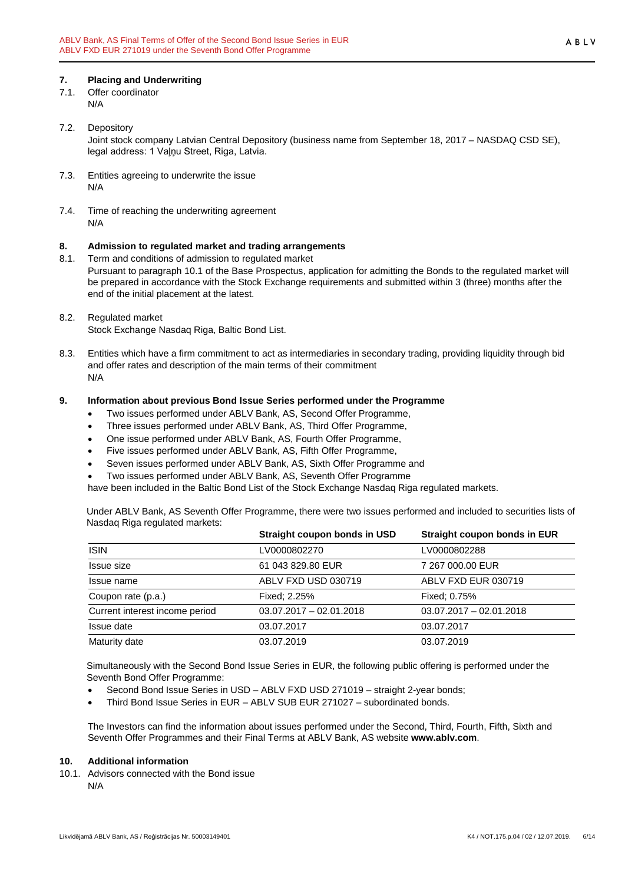# <span id="page-5-0"></span>**7. Placing and Underwriting**

- 7.1. Offer coordinator N/A
	-
- 7.2. Depository Joint stock company Latvian Central Depository (business name from September 18, 2017 – NASDAQ CSD SE), legal address: 1 Vaļņu Street, Riga, Latvia.
- 7.3. Entities agreeing to underwrite the issue N/A
- 7.4. Time of reaching the underwriting agreement N/A

# <span id="page-5-1"></span>**8. Admission to regulated market and trading arrangements**

- 8.1. Term and conditions of admission to regulated market Pursuant to paragraph 10.1 of the Base Prospectus, application for admitting the Bonds to the regulated market will be prepared in accordance with the Stock Exchange requirements and submitted within 3 (three) months after the end of the initial placement at the latest.
- 8.2. Regulated market

Stock Exchange Nasdaq Riga, Baltic Bond List.

8.3. Entities which have a firm commitment to act as intermediaries in secondary trading, providing liquidity through bid and offer rates and description of the main terms of their commitment N/A

## <span id="page-5-2"></span>**9. Information about previous Bond Issue Series performed under the Programme**

- Two issues performed under ABLV Bank, AS, Second Offer Programme,
- Three issues performed under ABLV Bank, AS, Third Offer Programme,
- One issue performed under ABLV Bank, AS, Fourth Offer Programme,
- Five issues performed under ABLV Bank, AS, Fifth Offer Programme,
- Seven issues performed under ABLV Bank, AS, Sixth Offer Programme and
- Two issues performed under ABLV Bank, AS, Seventh Offer Programme

have been included in the Baltic Bond List of the Stock Exchange Nasdaq Riga regulated markets.

Under ABLV Bank, AS Seventh Offer Programme, there were two issues performed and included to securities lists of Nasdaq Riga regulated markets:

|                                | Straight coupon bonds in USD | Straight coupon bonds in EUR |
|--------------------------------|------------------------------|------------------------------|
| <b>ISIN</b>                    | LV0000802270                 | LV0000802288                 |
| Issue size                     | 61 043 829.80 EUR            | 7 267 000.00 EUR             |
| Issue name                     | ABLV FXD USD 030719          | ABLV FXD EUR 030719          |
| Coupon rate (p.a.)             | Fixed: 2.25%                 | Fixed: 0.75%                 |
| Current interest income period | $03.07.2017 - 02.01.2018$    | $03.07.2017 - 02.01.2018$    |
| Issue date                     | 03.07.2017                   | 03.07.2017                   |
| Maturity date                  | 03.07.2019                   | 03.07.2019                   |

Simultaneously with the Second Bond Issue Series in EUR, the following public offering is performed under the Seventh Bond Offer Programme:

- Second Bond Issue Series in USD ABLV FXD USD 271019 straight 2-year bonds;
- Third Bond Issue Series in EUR ABLV SUB EUR 271027 subordinated bonds.

The Investors can find the information about issues performed under the Second, Third, Fourth, Fifth, Sixth and Seventh Offer Programmes and their Final Terms at ABLV Bank, AS website **[www.ablv.com](http://www.ablv.com/)**.

#### <span id="page-5-3"></span>**10. Additional information**

10.1. Advisors connected with the Bond issue N/A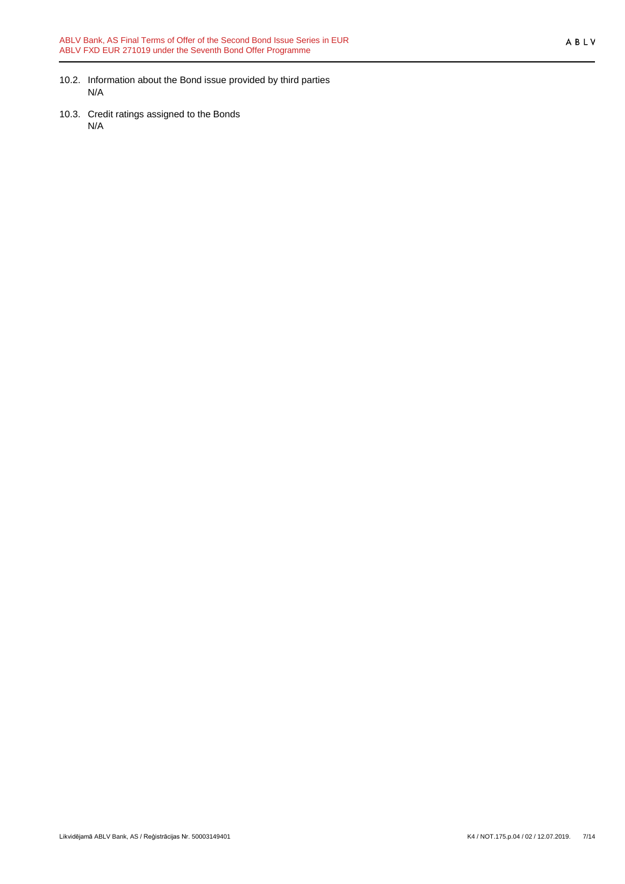ABLV

- 10.2. Information about the Bond issue provided by third parties N/A
- 10.3. Credit ratings assigned to the Bonds N/A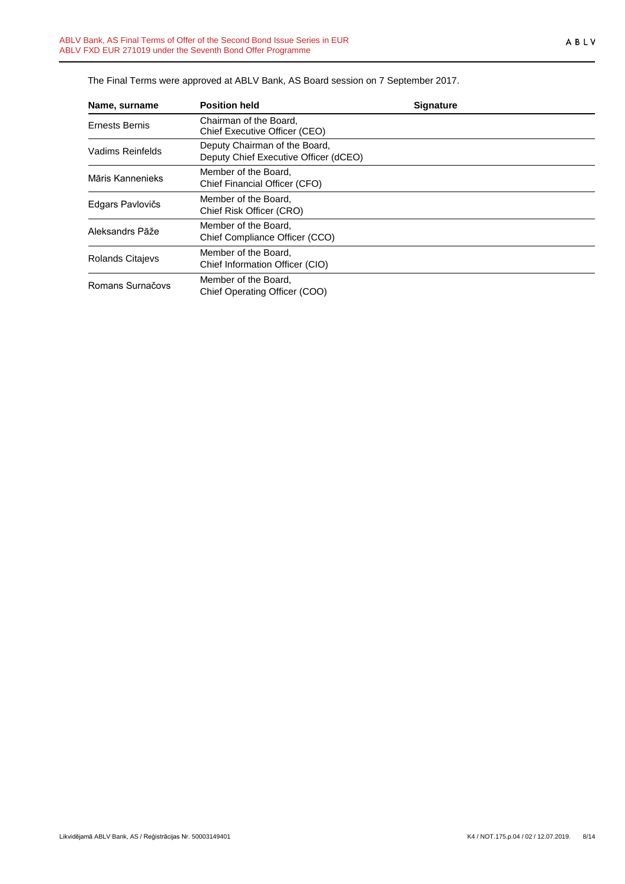| Name, surname           | <b>Position held</b>                                                   | <b>Signature</b> |
|-------------------------|------------------------------------------------------------------------|------------------|
| <b>Ernests Bernis</b>   | Chairman of the Board,<br>Chief Executive Officer (CEO)                |                  |
| Vadims Reinfelds        | Deputy Chairman of the Board,<br>Deputy Chief Executive Officer (dCEO) |                  |
| Māris Kannenieks        | Member of the Board.<br>Chief Financial Officer (CFO)                  |                  |
| Edgars Pavlovičs        | Member of the Board,<br>Chief Risk Officer (CRO)                       |                  |
| Aleksandrs Pāže         | Member of the Board,<br>Chief Compliance Officer (CCO)                 |                  |
| <b>Rolands Citajevs</b> | Member of the Board,<br>Chief Information Officer (CIO)                |                  |
| Romans Surnačovs        | Member of the Board,<br>Chief Operating Officer (COO)                  |                  |

The Final Terms were approved at ABLV Bank, AS Board session on 7 September 2017.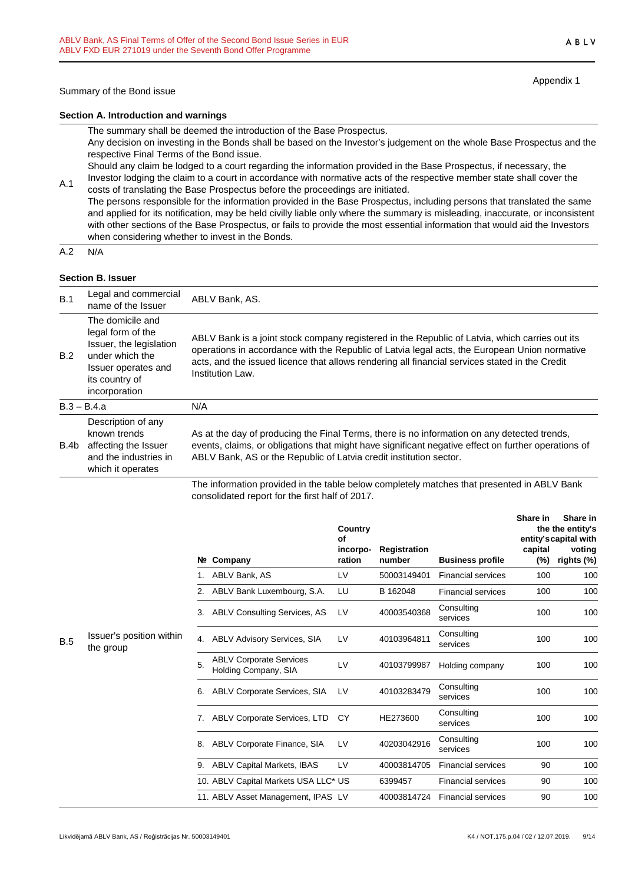# ABLV

Appendix 1

#### **Section A. Introduction and warnings**

The summary shall be deemed the introduction of the Base Prospectus.

Any decision on investing in the Bonds shall be based on the Investor's judgement on the whole Base Prospectus and the respective Final Terms of the Bond issue.

Should any claim be lodged to a court regarding the information provided in the Base Prospectus, if necessary, the Investor lodging the claim to a court in accordance with normative acts of the respective member state shall cover the

A.1 costs of translating the Base Prospectus before the proceedings are initiated. The persons responsible for the information provided in the Base Prospectus, including persons that translated the same and applied for its notification, may be held civilly liable only where the summary is misleading, inaccurate, or inconsistent with other sections of the Base Prospectus, or fails to provide the most essential information that would aid the Investors when considering whether to invest in the Bonds.

 $A.2 N/A$ 

## **Section B. Issuer**

| B.1  | Legal and commercial<br>name of the Issuer                                                                                                    | ABLV Bank, AS.                                                                                                                                                                                                                                                                                                        |
|------|-----------------------------------------------------------------------------------------------------------------------------------------------|-----------------------------------------------------------------------------------------------------------------------------------------------------------------------------------------------------------------------------------------------------------------------------------------------------------------------|
| B.2  | The domicile and<br>legal form of the<br>Issuer, the legislation<br>under which the<br>Issuer operates and<br>its country of<br>incorporation | ABLV Bank is a joint stock company registered in the Republic of Latvia, which carries out its<br>operations in accordance with the Republic of Latvia legal acts, the European Union normative<br>acts, and the issued licence that allows rendering all financial services stated in the Credit<br>Institution Law. |
|      | $B.3 - B.4.a$                                                                                                                                 | N/A                                                                                                                                                                                                                                                                                                                   |
| B.4b | Description of any<br>known trends<br>affecting the Issuer<br>and the industries in<br>which it operates                                      | As at the day of producing the Final Terms, there is no information on any detected trends,<br>events, claims, or obligations that might have significant negative effect on further operations of<br>ABLV Bank, AS or the Republic of Latvia credit institution sector.                                              |
|      |                                                                                                                                               | The information provided in the table below completely matches that presented in ABLV Bank                                                                                                                                                                                                                            |

The information provided in the table below completely matches that presented in ABLV Bank consolidated report for the first half of 2017.

|     |                                       |    |                                                        | Country<br>Οf      |                              |                           | Share in       | Share in<br>the the entity's<br>entity's capital with |
|-----|---------------------------------------|----|--------------------------------------------------------|--------------------|------------------------------|---------------------------|----------------|-------------------------------------------------------|
|     |                                       |    | Nº Company                                             | incorpo-<br>ration | Registration<br>number       | <b>Business profile</b>   | capital<br>(%) | voting<br>rights (%)                                  |
|     |                                       |    | ABLV Bank, AS                                          | LV                 | 50003149401                  | <b>Financial services</b> | 100            | 100                                                   |
|     |                                       |    | ABLV Bank Luxembourg, S.A.                             | LU                 | B 162048                     | <b>Financial services</b> | 100            | 100                                                   |
|     |                                       | 3. | ABLV Consulting Services, AS                           | LV                 | 40003540368                  | Consulting<br>services    | 100            | 100                                                   |
| B.5 | Issuer's position within<br>the group | 4. | <b>ABLV Advisory Services, SIA</b>                     | LV                 | 40103964811                  | Consulting<br>services    | 100            | 100                                                   |
|     |                                       | 5. | <b>ABLV Corporate Services</b><br>Holding Company, SIA | LV                 | 40103799987                  | Holding company           | 100            | 100                                                   |
|     |                                       | 6. | ABLV Corporate Services, SIA                           | LV                 | 40103283479                  | Consulting<br>services    | 100            | 100                                                   |
|     |                                       |    |                                                        | 7.                 | ABLV Corporate Services, LTD | CY                        | HE273600       | Consulting<br>services                                |
|     |                                       | 8. | ABLV Corporate Finance, SIA                            | LV                 | 40203042916                  | Consulting<br>services    | 100            | 100                                                   |
|     |                                       | 9. | <b>ABLV Capital Markets, IBAS</b>                      | LV                 | 40003814705                  | <b>Financial services</b> | 90             | 100                                                   |
|     |                                       |    | 10. ABLV Capital Markets USA LLC* US                   |                    | 6399457                      | <b>Financial services</b> | 90             | 100                                                   |
|     |                                       |    | 11. ABLV Asset Management, IPAS LV                     |                    | 40003814724                  | <b>Financial services</b> | 90             | 100                                                   |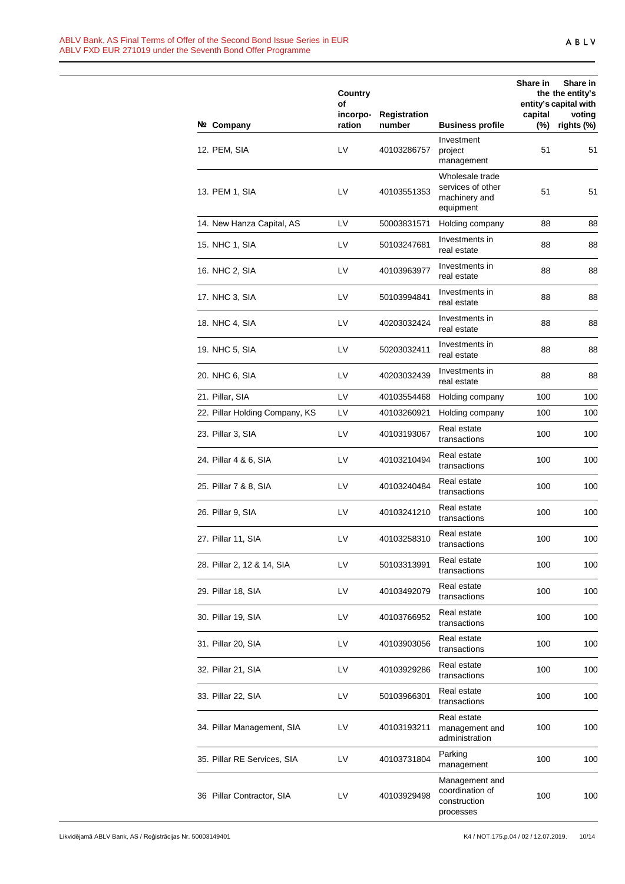|                                | Country<br>of      |                               |                                                                    | <b>Share in</b> | Share in<br>the the entity's<br>entity's capital with |
|--------------------------------|--------------------|-------------------------------|--------------------------------------------------------------------|-----------------|-------------------------------------------------------|
| Nº Company                     | incorpo-<br>ration | <b>Registration</b><br>number | <b>Business profile</b>                                            | capital<br>(%)  | voting<br>rights (%)                                  |
| 12. PEM, SIA                   | LV                 | 40103286757                   | Investment<br>project<br>management                                | 51              | 51                                                    |
| 13. PEM 1, SIA                 | LV                 | 40103551353                   | Wholesale trade<br>services of other<br>machinery and<br>equipment | 51              | 51                                                    |
| 14. New Hanza Capital, AS      | LV                 | 50003831571                   | Holding company                                                    | 88              | 88                                                    |
| 15. NHC 1, SIA                 | LV                 | 50103247681                   | Investments in<br>real estate                                      | 88              | 88                                                    |
| 16. NHC 2, SIA                 | LV                 | 40103963977                   | Investments in<br>real estate                                      | 88              | 88                                                    |
| 17. NHC 3, SIA                 | LV                 | 50103994841                   | Investments in<br>real estate                                      | 88              | 88                                                    |
| 18. NHC 4, SIA                 | LV                 | 40203032424                   | Investments in<br>real estate                                      | 88              | 88                                                    |
| 19. NHC 5, SIA                 | LV                 | 50203032411                   | Investments in<br>real estate                                      | 88              | 88                                                    |
| 20. NHC 6, SIA                 | LV                 | 40203032439                   | Investments in<br>real estate                                      | 88              | 88                                                    |
| 21. Pillar, SIA                | LV                 | 40103554468                   | Holding company                                                    | 100             | 100                                                   |
| 22. Pillar Holding Company, KS | LV                 | 40103260921                   | Holding company                                                    | 100             | 100                                                   |
| 23. Pillar 3, SIA              | LV                 | 40103193067                   | Real estate<br>transactions                                        | 100             | 100                                                   |
| 24. Pillar 4 & 6, SIA          | LV                 | 40103210494                   | Real estate<br>transactions                                        | 100             | 100                                                   |
| 25. Pillar 7 & 8, SIA          | LV                 | 40103240484                   | Real estate<br>transactions                                        | 100             | 100                                                   |
| 26. Pillar 9, SIA              | LV                 | 40103241210                   | Real estate<br>transactions                                        | 100             | 100                                                   |
| 27. Pillar 11, SIA             | LV                 | 40103258310                   | Real estate<br>transactions                                        | 100             | 100                                                   |
| 28. Pillar 2, 12 & 14, SIA     | LV                 | 50103313991                   | Real estate<br>transactions                                        | 100             | 100                                                   |
| 29. Pillar 18, SIA             | LV                 | 40103492079                   | Real estate<br>transactions                                        | 100             | 100                                                   |
| 30. Pillar 19, SIA             | LV                 | 40103766952                   | Real estate<br>transactions                                        | 100             | 100                                                   |
| 31. Pillar 20, SIA             | LV                 | 40103903056                   | Real estate<br>transactions                                        | 100             | 100                                                   |
| 32. Pillar 21, SIA             | LV                 | 40103929286                   | Real estate<br>transactions                                        | 100             | 100                                                   |
| 33. Pillar 22, SIA             | LV                 | 50103966301                   | Real estate<br>transactions                                        | 100             | 100                                                   |
| 34. Pillar Management, SIA     | LV                 | 40103193211                   | Real estate<br>management and<br>administration                    | 100             | 100                                                   |
| 35. Pillar RE Services, SIA    | LV                 | 40103731804                   | Parking<br>management                                              | 100             | 100                                                   |
| 36 Pillar Contractor, SIA      | LV                 | 40103929498                   | Management and<br>coordination of<br>construction<br>processes     | 100             | 100                                                   |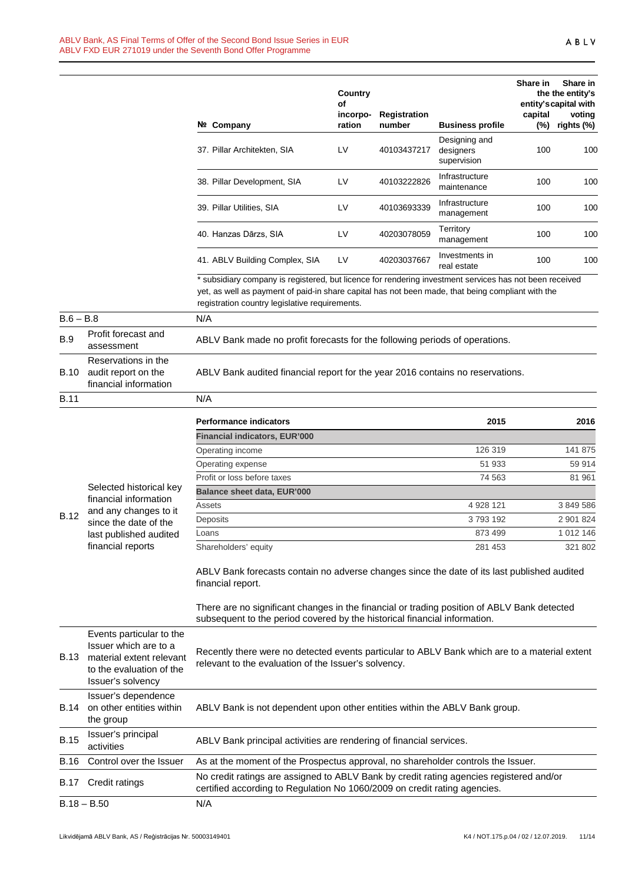|             |                                                                                                                                | Nº Company                                                                                                                                                                                                                                                     | Country<br>οf<br>incorpo-<br>ration | Registration<br>number | <b>Business profile</b>                   | Share in<br>capital<br>$(\%)$ | Share in<br>the the entity's<br>entity's capital with<br>voting<br>rights (%) |
|-------------|--------------------------------------------------------------------------------------------------------------------------------|----------------------------------------------------------------------------------------------------------------------------------------------------------------------------------------------------------------------------------------------------------------|-------------------------------------|------------------------|-------------------------------------------|-------------------------------|-------------------------------------------------------------------------------|
|             |                                                                                                                                | 37. Pillar Architekten, SIA                                                                                                                                                                                                                                    | LV                                  | 40103437217            | Designing and<br>designers<br>supervision | 100                           | 100                                                                           |
|             |                                                                                                                                | 38. Pillar Development, SIA                                                                                                                                                                                                                                    | LV                                  | 40103222826            | Infrastructure<br>maintenance             | 100                           | 100                                                                           |
|             |                                                                                                                                | 39. Pillar Utilities, SIA                                                                                                                                                                                                                                      | LV                                  | 40103693339            | Infrastructure<br>management              | 100                           | 10 <sub>C</sub>                                                               |
|             |                                                                                                                                | 40. Hanzas Dārzs, SIA                                                                                                                                                                                                                                          | LV                                  | 40203078059            | Territory<br>management                   | 100                           | 100                                                                           |
|             |                                                                                                                                | 41. ABLV Building Complex, SIA                                                                                                                                                                                                                                 | LV                                  | 40203037667            | Investments in<br>real estate             | 100                           | 10 <sub>C</sub>                                                               |
|             |                                                                                                                                | * subsidiary company is registered, but licence for rendering investment services has not been received<br>yet, as well as payment of paid-in share capital has not been made, that being compliant with the<br>registration country legislative requirements. |                                     |                        |                                           |                               |                                                                               |
| $B.6 - B.8$ |                                                                                                                                | N/A                                                                                                                                                                                                                                                            |                                     |                        |                                           |                               |                                                                               |
| <b>B.9</b>  | Profit forecast and<br>assessment                                                                                              | ABLV Bank made no profit forecasts for the following periods of operations.                                                                                                                                                                                    |                                     |                        |                                           |                               |                                                                               |
| B.10        | Reservations in the<br>audit report on the<br>financial information                                                            | ABLV Bank audited financial report for the year 2016 contains no reservations.                                                                                                                                                                                 |                                     |                        |                                           |                               |                                                                               |
| <b>B.11</b> |                                                                                                                                | N/A                                                                                                                                                                                                                                                            |                                     |                        |                                           |                               |                                                                               |
|             |                                                                                                                                | <b>Performance indicators</b><br><b>Financial indicators, EUR'000</b>                                                                                                                                                                                          |                                     |                        | 2015                                      |                               | 2016                                                                          |
|             |                                                                                                                                | Operating income                                                                                                                                                                                                                                               |                                     |                        | 126 319                                   |                               | 141 875                                                                       |
|             |                                                                                                                                | Operating expense                                                                                                                                                                                                                                              |                                     |                        | 51 933                                    |                               | 59 914                                                                        |
|             |                                                                                                                                | Profit or loss before taxes                                                                                                                                                                                                                                    |                                     |                        | 74 563                                    |                               | 81 961                                                                        |
|             | Selected historical key<br>financial information                                                                               | <b>Balance sheet data, EUR'000</b>                                                                                                                                                                                                                             |                                     |                        |                                           |                               |                                                                               |
|             | and any changes to it                                                                                                          | Assets                                                                                                                                                                                                                                                         |                                     |                        | 4 928 121                                 |                               | 3 849 586                                                                     |
| <b>B.12</b> | since the date of the                                                                                                          | Deposits                                                                                                                                                                                                                                                       |                                     |                        | 3793192                                   |                               | 2 901 824                                                                     |
|             | last published audited                                                                                                         | Loans                                                                                                                                                                                                                                                          |                                     |                        | 873 499                                   |                               | 1 012 146                                                                     |
|             | financial reports                                                                                                              | Shareholders' equity<br>ABLV Bank forecasts contain no adverse changes since the date of its last published audited<br>financial report.                                                                                                                       |                                     |                        | 281 453                                   |                               | 321 802                                                                       |
|             |                                                                                                                                | There are no significant changes in the financial or trading position of ABLV Bank detected<br>subsequent to the period covered by the historical financial information.                                                                                       |                                     |                        |                                           |                               |                                                                               |
| <b>B.13</b> | Events particular to the<br>Issuer which are to a<br>material extent relevant<br>to the evaluation of the<br>Issuer's solvency | Recently there were no detected events particular to ABLV Bank which are to a material extent<br>relevant to the evaluation of the Issuer's solvency.                                                                                                          |                                     |                        |                                           |                               |                                                                               |
| B.14        | Issuer's dependence<br>on other entities within<br>the group                                                                   | ABLV Bank is not dependent upon other entities within the ABLV Bank group.                                                                                                                                                                                     |                                     |                        |                                           |                               |                                                                               |
| <b>B.15</b> | Issuer's principal<br>activities                                                                                               | ABLV Bank principal activities are rendering of financial services.                                                                                                                                                                                            |                                     |                        |                                           |                               |                                                                               |
| B.16        | Control over the Issuer                                                                                                        | As at the moment of the Prospectus approval, no shareholder controls the Issuer.                                                                                                                                                                               |                                     |                        |                                           |                               |                                                                               |
| B.17        | Credit ratings                                                                                                                 | No credit ratings are assigned to ABLV Bank by credit rating agencies registered and/or<br>certified according to Regulation No 1060/2009 on credit rating agencies.                                                                                           |                                     |                        |                                           |                               |                                                                               |
|             | $B.18 - B.50$                                                                                                                  | N/A                                                                                                                                                                                                                                                            |                                     |                        |                                           |                               |                                                                               |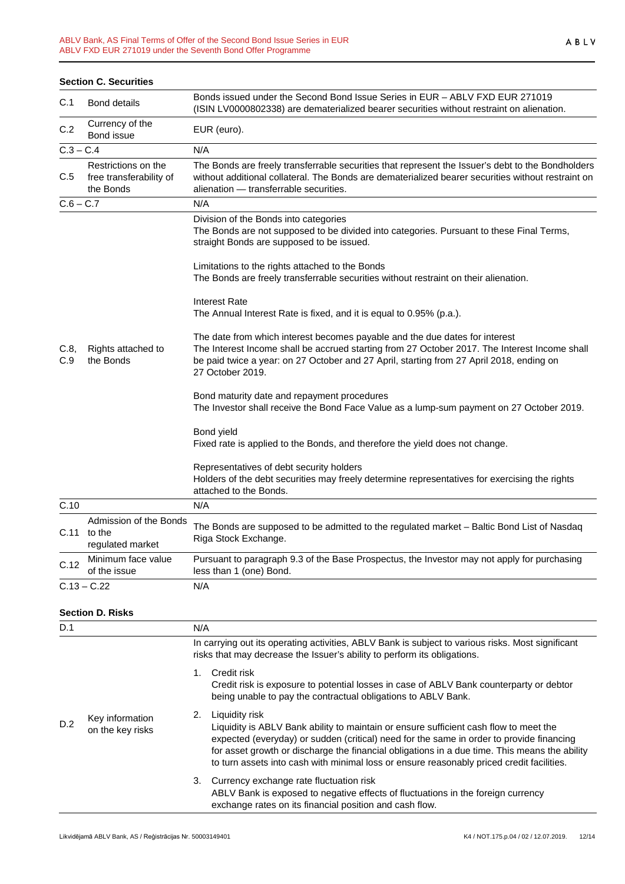|             | <b>Section C. Securities</b>                                |                                                                                                                                                                                                                                                                                              |
|-------------|-------------------------------------------------------------|----------------------------------------------------------------------------------------------------------------------------------------------------------------------------------------------------------------------------------------------------------------------------------------------|
| C.1         | <b>Bond details</b>                                         | Bonds issued under the Second Bond Issue Series in EUR - ABLV FXD EUR 271019<br>(ISIN LV0000802338) are dematerialized bearer securities without restraint on alienation.                                                                                                                    |
| C.2         | Currency of the<br>Bond issue                               | EUR (euro).                                                                                                                                                                                                                                                                                  |
| $C.3 - C.4$ |                                                             | N/A                                                                                                                                                                                                                                                                                          |
| C.5         | Restrictions on the<br>free transferability of<br>the Bonds | The Bonds are freely transferrable securities that represent the Issuer's debt to the Bondholders<br>without additional collateral. The Bonds are dematerialized bearer securities without restraint on<br>alienation - transferrable securities.                                            |
| $C.6 - C.7$ |                                                             | N/A                                                                                                                                                                                                                                                                                          |
|             |                                                             | Division of the Bonds into categories<br>The Bonds are not supposed to be divided into categories. Pursuant to these Final Terms,<br>straight Bonds are supposed to be issued.                                                                                                               |
|             |                                                             | Limitations to the rights attached to the Bonds<br>The Bonds are freely transferrable securities without restraint on their alienation.                                                                                                                                                      |
|             |                                                             | Interest Rate<br>The Annual Interest Rate is fixed, and it is equal to 0.95% (p.a.).                                                                                                                                                                                                         |
| C.8,<br>C.9 | Rights attached to<br>the Bonds                             | The date from which interest becomes payable and the due dates for interest<br>The Interest Income shall be accrued starting from 27 October 2017. The Interest Income shall<br>be paid twice a year: on 27 October and 27 April, starting from 27 April 2018, ending on<br>27 October 2019. |
|             |                                                             | Bond maturity date and repayment procedures<br>The Investor shall receive the Bond Face Value as a lump-sum payment on 27 October 2019.                                                                                                                                                      |
|             |                                                             | Bond yield<br>Fixed rate is applied to the Bonds, and therefore the yield does not change.                                                                                                                                                                                                   |
|             |                                                             | Representatives of debt security holders<br>Holders of the debt securities may freely determine representatives for exercising the rights<br>attached to the Bonds.                                                                                                                          |
| C.10        |                                                             | N/A                                                                                                                                                                                                                                                                                          |
|             | Admission of the Bonds<br>$C.11$ to the<br>regulated market | The Bonds are supposed to be admitted to the regulated market - Baltic Bond List of Nasdaq<br>Riga Stock Exchange.                                                                                                                                                                           |
| C.12        | Minimum face value<br>of the issue                          | Pursuant to paragraph 9.3 of the Base Prospectus, the Investor may not apply for purchasing<br>less than 1 (one) Bond.                                                                                                                                                                       |
|             | $C.13 - C.22$                                               | N/A                                                                                                                                                                                                                                                                                          |
|             | <b>Section D. Risks</b>                                     |                                                                                                                                                                                                                                                                                              |
| D.1         |                                                             | N/A                                                                                                                                                                                                                                                                                          |
|             |                                                             | In carrying out its operating activities, ABLV Bank is subject to various risks. Most significant                                                                                                                                                                                            |

|     |                                     | Credit risk<br>Credit risk is exposure to potential losses in case of ABLV Bank counterparty or debtor<br>being unable to pay the contractual obligations to ABLV Bank.                                                                                                                                                                                                                           |
|-----|-------------------------------------|---------------------------------------------------------------------------------------------------------------------------------------------------------------------------------------------------------------------------------------------------------------------------------------------------------------------------------------------------------------------------------------------------|
| D.2 | Key information<br>on the key risks | Liquidity risk<br>Liquidity is ABLV Bank ability to maintain or ensure sufficient cash flow to meet the<br>expected (everyday) or sudden (critical) need for the same in order to provide financing<br>for asset growth or discharge the financial obligations in a due time. This means the ability<br>to turn assets into cash with minimal loss or ensure reasonably priced credit facilities. |
|     |                                     | 3. Currency exchange rate fluctuation risk<br>ABLV Bank is exposed to negative effects of fluctuations in the foreign currency<br>exchange rates on its financial position and cash flow.                                                                                                                                                                                                         |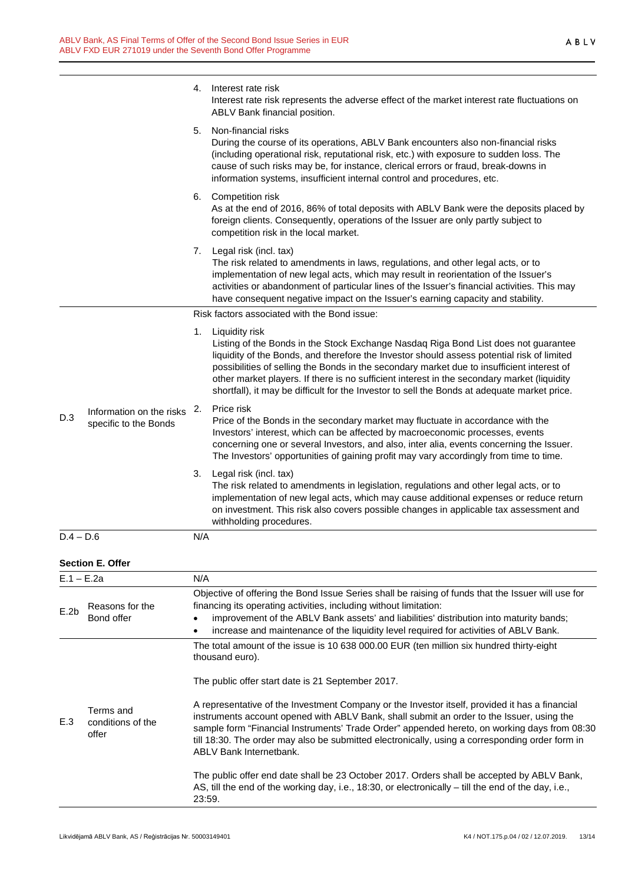|              |                                                   |        | 4. Interest rate risk<br>Interest rate risk represents the adverse effect of the market interest rate fluctuations on<br>ABLV Bank financial position.                                                                                                                                                                                                                                                                                                                                           |  |  |
|--------------|---------------------------------------------------|--------|--------------------------------------------------------------------------------------------------------------------------------------------------------------------------------------------------------------------------------------------------------------------------------------------------------------------------------------------------------------------------------------------------------------------------------------------------------------------------------------------------|--|--|
|              |                                                   | 5.     | Non-financial risks<br>During the course of its operations, ABLV Bank encounters also non-financial risks<br>(including operational risk, reputational risk, etc.) with exposure to sudden loss. The<br>cause of such risks may be, for instance, clerical errors or fraud, break-downs in<br>information systems, insufficient internal control and procedures, etc.                                                                                                                            |  |  |
|              |                                                   |        | 6. Competition risk<br>As at the end of 2016, 86% of total deposits with ABLV Bank were the deposits placed by<br>foreign clients. Consequently, operations of the Issuer are only partly subject to<br>competition risk in the local market.                                                                                                                                                                                                                                                    |  |  |
|              |                                                   | 7.     | Legal risk (incl. tax)<br>The risk related to amendments in laws, regulations, and other legal acts, or to<br>implementation of new legal acts, which may result in reorientation of the Issuer's<br>activities or abandonment of particular lines of the Issuer's financial activities. This may<br>have consequent negative impact on the Issuer's earning capacity and stability.                                                                                                             |  |  |
|              |                                                   |        | Risk factors associated with the Bond issue:                                                                                                                                                                                                                                                                                                                                                                                                                                                     |  |  |
|              |                                                   | 1.     | Liquidity risk<br>Listing of the Bonds in the Stock Exchange Nasdaq Riga Bond List does not guarantee<br>liquidity of the Bonds, and therefore the Investor should assess potential risk of limited<br>possibilities of selling the Bonds in the secondary market due to insufficient interest of<br>other market players. If there is no sufficient interest in the secondary market (liquidity<br>shortfall), it may be difficult for the Investor to sell the Bonds at adequate market price. |  |  |
| D.3          | Information on the risks<br>specific to the Bonds | 2.     | Price risk<br>Price of the Bonds in the secondary market may fluctuate in accordance with the<br>Investors' interest, which can be affected by macroeconomic processes, events<br>concerning one or several Investors, and also, inter alia, events concerning the Issuer.<br>The Investors' opportunities of gaining profit may vary accordingly from time to time.                                                                                                                             |  |  |
|              |                                                   |        | 3. Legal risk (incl. tax)<br>The risk related to amendments in legislation, regulations and other legal acts, or to<br>implementation of new legal acts, which may cause additional expenses or reduce return<br>on investment. This risk also covers possible changes in applicable tax assessment and<br>withholding procedures.                                                                                                                                                               |  |  |
| $D.4 - D.6$  |                                                   | N/A    |                                                                                                                                                                                                                                                                                                                                                                                                                                                                                                  |  |  |
|              | <b>Section E. Offer</b>                           |        |                                                                                                                                                                                                                                                                                                                                                                                                                                                                                                  |  |  |
| $E.1 - E.2a$ |                                                   | N/A    |                                                                                                                                                                                                                                                                                                                                                                                                                                                                                                  |  |  |
| E.2b         | Reasons for the<br>Bond offer                     |        | Objective of offering the Bond Issue Series shall be raising of funds that the Issuer will use for<br>financing its operating activities, including without limitation:<br>improvement of the ABLV Bank assets' and liabilities' distribution into maturity bands;<br>increase and maintenance of the liquidity level required for activities of ABLV Bank.                                                                                                                                      |  |  |
|              |                                                   |        | The total amount of the issue is 10 638 000.00 EUR (ten million six hundred thirty-eight<br>thousand euro).<br>The public offer start date is 21 September 2017.                                                                                                                                                                                                                                                                                                                                 |  |  |
| E.3          | Terms and<br>conditions of the<br>offer           |        | A representative of the Investment Company or the Investor itself, provided it has a financial<br>instruments account opened with ABLV Bank, shall submit an order to the Issuer, using the<br>sample form "Financial Instruments' Trade Order" appended hereto, on working days from 08:30<br>till 18:30. The order may also be submitted electronically, using a corresponding order form in<br><b>ABLV Bank Internetbank.</b>                                                                 |  |  |
|              |                                                   | 23:59. | The public offer end date shall be 23 October 2017. Orders shall be accepted by ABLV Bank,<br>AS, till the end of the working day, i.e., 18:30, or electronically – till the end of the day, i.e.,                                                                                                                                                                                                                                                                                               |  |  |